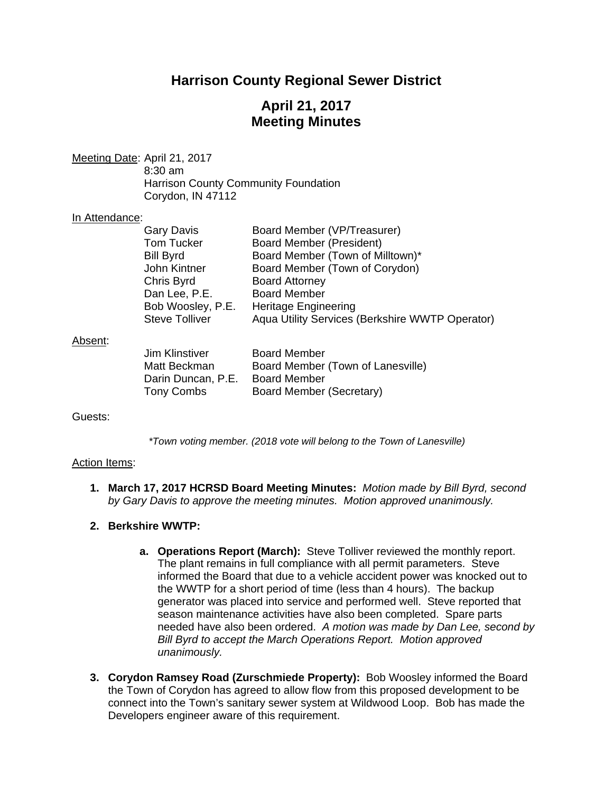# **Harrison County Regional Sewer District**

## **April 21, 2017 Meeting Minutes**

Meeting Date: April 21, 2017 8:30 am Harrison County Community Foundation Corydon, IN 47112

#### In Attendance:

| Board Member (VP/Treasurer)                      |
|--------------------------------------------------|
| <b>Board Member (President)</b>                  |
| Board Member (Town of Milltown)*                 |
| Board Member (Town of Corydon)                   |
| <b>Board Attorney</b>                            |
| <b>Board Member</b>                              |
| Bob Woosley, P.E.<br><b>Heritage Engineering</b> |
| Aqua Utility Services (Berkshire WWTP Operator)  |
|                                                  |

#### Absent:

| Jim Klinstiver     | <b>Board Member</b>               |
|--------------------|-----------------------------------|
| Matt Beckman       | Board Member (Town of Lanesville) |
| Darin Duncan, P.E. | <b>Board Member</b>               |
| Tony Combs         | Board Member (Secretary)          |

Guests:

*\*Town voting member. (2018 vote will belong to the Town of Lanesville)* 

#### Action Items:

- **1. March 17, 2017 HCRSD Board Meeting Minutes:** *Motion made by Bill Byrd, second by Gary Davis to approve the meeting minutes. Motion approved unanimously.*
- **2. Berkshire WWTP:**
	- **a. Operations Report (March):** Steve Tolliver reviewed the monthly report. The plant remains in full compliance with all permit parameters. Steve informed the Board that due to a vehicle accident power was knocked out to the WWTP for a short period of time (less than 4 hours). The backup generator was placed into service and performed well. Steve reported that season maintenance activities have also been completed.Spare parts needed have also been ordered. *A motion was made by Dan Lee, second by Bill Byrd to accept the March Operations Report. Motion approved unanimously.*
- **3. Corydon Ramsey Road (Zurschmiede Property):** Bob Woosley informed the Board the Town of Corydon has agreed to allow flow from this proposed development to be connect into the Town's sanitary sewer system at Wildwood Loop. Bob has made the Developers engineer aware of this requirement.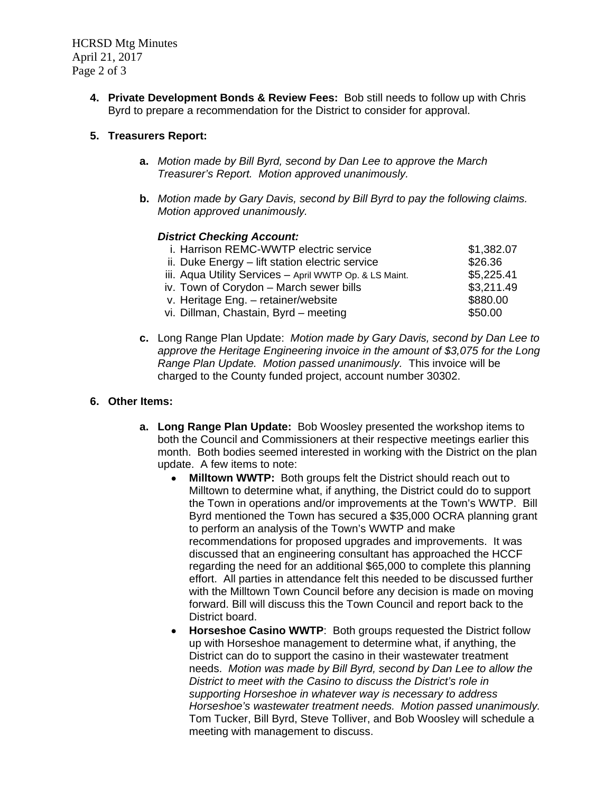HCRSD Mtg Minutes April 21, 2017 Page 2 of 3

> **4. Private Development Bonds & Review Fees:** Bob still needs to follow up with Chris Byrd to prepare a recommendation for the District to consider for approval.

## **5. Treasurers Report:**

- **a.** *Motion made by Bill Byrd, second by Dan Lee to approve the March Treasurer's Report. Motion approved unanimously.*
- **b.** *Motion made by Gary Davis, second by Bill Byrd to pay the following claims. Motion approved unanimously.*

### *District Checking Account:*

| i. Harrison REMC-WWTP electric service                  | \$1,382.07 |
|---------------------------------------------------------|------------|
| ii. Duke Energy – lift station electric service         | \$26.36    |
| iii. Aqua Utility Services - April WWTP Op. & LS Maint. | \$5,225.41 |
| iv. Town of Corydon - March sewer bills                 | \$3,211.49 |
| v. Heritage Eng. - retainer/website                     | \$880.00   |
| vi. Dillman, Chastain, Byrd - meeting                   | \$50.00    |
|                                                         |            |

**c.** Long Range Plan Update: *Motion made by Gary Davis, second by Dan Lee to approve the Heritage Engineering invoice in the amount of \$3,075 for the Long Range Plan Update. Motion passed unanimously.* This invoice will be charged to the County funded project, account number 30302.

### **6. Other Items:**

- **a. Long Range Plan Update:** Bob Woosley presented the workshop items to both the Council and Commissioners at their respective meetings earlier this month. Both bodies seemed interested in working with the District on the plan update. A few items to note:
	- **Milltown WWTP:** Both groups felt the District should reach out to Milltown to determine what, if anything, the District could do to support the Town in operations and/or improvements at the Town's WWTP. Bill Byrd mentioned the Town has secured a \$35,000 OCRA planning grant to perform an analysis of the Town's WWTP and make recommendations for proposed upgrades and improvements. It was discussed that an engineering consultant has approached the HCCF regarding the need for an additional \$65,000 to complete this planning effort. All parties in attendance felt this needed to be discussed further with the Milltown Town Council before any decision is made on moving forward. Bill will discuss this the Town Council and report back to the District board.
	- **Horseshoe Casino WWTP**: Both groups requested the District follow up with Horseshoe management to determine what, if anything, the District can do to support the casino in their wastewater treatment needs. *Motion was made by Bill Byrd, second by Dan Lee to allow the District to meet with the Casino to discuss the District's role in supporting Horseshoe in whatever way is necessary to address Horseshoe's wastewater treatment needs. Motion passed unanimously.* Tom Tucker, Bill Byrd, Steve Tolliver, and Bob Woosley will schedule a meeting with management to discuss.